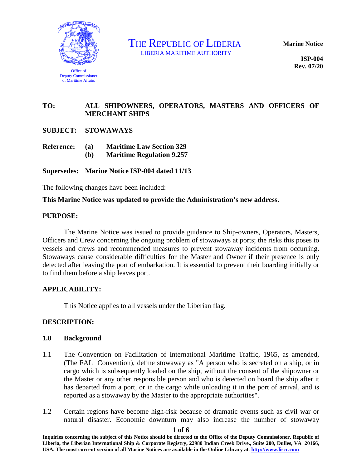

THE REPUBLIC OF LIBERIA

**Marine Notice**

**ISP-004 Rev. 07/20**

# **TO: ALL SHIPOWNERS, OPERATORS, MASTERS AND OFFICERS OF MERCHANT SHIPS**

**SUBJECT: STOWAWAYS**

- **Reference: (a) Maritime Law Section 329**
	- **(b) Maritime Regulation 9.257**

**Supersedes: Marine Notice ISP-004 dated 11/13** 

The following changes have been included:

### **This Marine Notice was updated to provide the Administration's new address.**

#### **PURPOSE:**

The Marine Notice was issued to provide guidance to Ship-owners, Operators, Masters, Officers and Crew concerning the ongoing problem of stowaways at ports; the risks this poses to vessels and crews and recommended measures to prevent stowaway incidents from occurring. Stowaways cause considerable difficulties for the Master and Owner if their presence is only detected after leaving the port of embarkation. It is essential to prevent their boarding initially or to find them before a ship leaves port.

### **APPLICABILITY:**

This Notice applies to all vessels under the Liberian flag.

### **DESCRIPTION:**

### **1.0 Background**

- 1.1 The Convention on Facilitation of International Maritime Traffic, 1965, as amended, (The FAL Convention), define stowaway as "A person who is secreted on a ship, or in cargo which is subsequently loaded on the ship, without the consent of the shipowner or the Master or any other responsible person and who is detected on board the ship after it has departed from a port, or in the cargo while unloading it in the port of arrival, and is reported as a stowaway by the Master to the appropriate authorities".
- 1.2 Certain regions have become high-risk because of dramatic events such as civil war or natural disaster. Economic downturn may also increase the number of stowaway

**Inquiries concerning the subject of this Notice should be directed to the Office of the Deputy Commissioner, Republic of Liberia, the Liberian International Ship & Corporate Registry, 22980 Indian Creek Drive., Suite 200, Dulles, VA 20166, USA. The most current version of all Marine Notices are available in the Online Library at**: **http://www.liscr.com**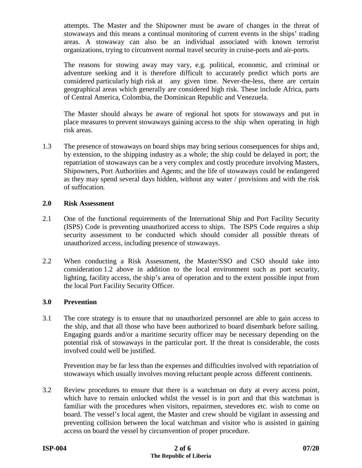attempts. The Master and the Shipowner must be aware of changes in the threat of stowaways and this means a continual monitoring of current events in the ships' trading areas. A stowaway can also be an individual associated with known terrorist organizations, trying to circumvent normal travel security in cruise-ports and air-ports.

The reasons for stowing away may vary, e.g. political, economic, and criminal or adventure seeking and it is therefore difficult to accurately predict which ports are considered particularly high risk at any given time. Never-the-less, there are certain geographical areas which generally are considered high risk. These include Africa, parts of Central America, Colombia, the Dominican Republic and Venezuela.

The Master should always be aware of regional hot spots for stowaways and put in place measures to prevent stowaways gaining access to the ship when operating in high risk areas.

1.3 The presence of stowaways on board ships may bring serious consequences for ships and, by extension, to the shipping industry as a whole; the ship could be delayed in port; the repatriation of stowaways can be a very complex and costly procedure involving Masters, Shipowners, Port Authorities and Agents; and the life of stowaways could be endangered as they may spend several days hidden, without any water / provisions and with the risk of suffocation**.**

### **2.0 Risk Assessment**

- 2.1 One of the functional requirements of the International Ship and Port Facility Security (ISPS) Code is preventing unauthorized access to ships. The ISPS Code requires a ship security assessment to be conducted which should consider all possible threats of unauthorized access, including presence of stowaways.
- 2.2 When conducting a Risk Assessment, the Master/SSO and CSO should take into consideration 1.2 above in addition to the local environment such as port security, lighting, facility access, the ship's area of operation and to the extent possible input from the local Port Facility Security Officer.

# **3.0 Prevention**

3.1 The core strategy is to ensure that no unauthorized personnel are able to gain access to the ship, and that all those who have been authorized to board disembark before sailing. Engaging guards and/or a maritime security officer may be necessary depending on the potential risk of stowaways in the particular port. If the threat is considerable, the costs involved could well be justified.

Prevention may be far less than the expenses and difficulties involved with repatriation of stowaways which usually involves moving reluctant people across different continents.

3.2 Review procedures to ensure that there is a watchman on duty at every access point, which have to remain unlocked whilst the vessel is in port and that this watchman is familiar with the procedures when visitors, repairmen, stevedores etc. wish to come on board. The vessel's local agent, the Master and crew should be vigilant in assessing and preventing collision between the local watchman and visitor who is assisted in gaining access on board the vessel by circumvention of proper procedure.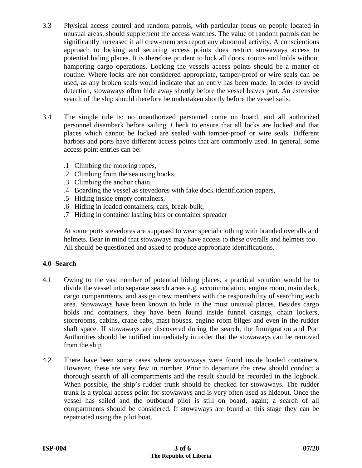- 3.3 Physical access control and random patrols, with particular focus on people located in unusual areas, should supplement the access watches. The value of random patrols can be significantly increased if all crew-members report any abnormal activity. A conscientious approach to locking and securing access points does restrict stowaways access to potential hiding places. It is therefore prudent to lock all doors, rooms and holds without hampering cargo operations. Locking the vessels access points should be a matter of routine. Where locks are not considered appropriate, tamper-proof or wire seals can be used, as any broken seals would indicate that an entry has been made. In order to avoid detection, stowaways often hide away shortly before the vessel leaves port. An extensive search of the ship should therefore be undertaken shortly before the vessel sails**.**
- 3.4 The simple rule is: no unauthorized personnel come on board, and all authorized personnel disembark before sailing. Check to ensure that all locks are locked and that places which cannot be locked are sealed with tamper-proof or wire seals. Different harbors and ports have different access points that are commonly used. In general, some access point entries can be:
	- .1 Climbing the mooring ropes,
	- .2 Climbing from the sea using hooks,
	- .3 Climbing the anchor chain,
	- .4 Boarding the vessel as stevedores with fake dock identification papers,
	- .5 Hiding inside empty containers,
	- .6 Hiding in loaded containers, cars, break-bulk,
	- .7 Hiding in container lashing bins or container spreader

At some ports stevedores are supposed to wear special clothing with branded overalls and helmets. Bear in mind that stowaways may have access to these overalls and helmets too. All should be questioned and asked to produce appropriate identifications.

### **4.0 Search**

- 4.1 Owing to the vast number of potential hiding places, a practical solution would be to divide the vessel into separate search areas e.g. accommodation, engine room, main deck, cargo compartments, and assign crew members with the responsibility of searching each area. Stowaways have been known to hide in the most unusual places. Besides cargo holds and containers, they have been found inside funnel casings, chain lockers, storerooms, cabins, crane cabs, mast houses, engine room bilges and even in the rudder shaft space. If stowaways are discovered during the search, the Immigration and Port Authorities should be notified immediately in order that the stowaways can be removed from the ship**.**
- 4.2 There have been some cases where stowaways were found inside loaded containers. However, these are very few in number. Prior to departure the crew should conduct a thorough search of all compartments and the result should be recorded in the logbook. When possible, the ship's rudder trunk should be checked for stowaways. The rudder trunk is a typical access point for stowaways and is very often used as hideout. Once the vessel has sailed and the outbound pilot is still on board, again; a search of all compartments should be considered. If stowaways are found at this stage they can be repatriated using the pilot boat.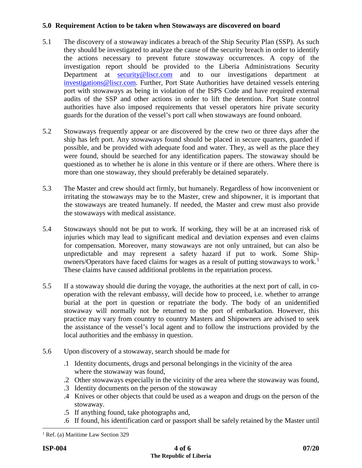# **5.0 Requirement Action to be taken when Stowaways are discovered on board**

- 5.1 The discovery of a stowaway indicates a breach of the Ship Security Plan (SSP). As such they should be investigated to analyze the cause of the security breach in order to identify the actions necessary to prevent future stowaway occurrences. A copy of the investigation report should be provided to the Liberia Administrations Security Department at **[security@liscr.com](mailto:security@liscr.com)** and to our investigations department at [investigations@liscr.com.](mailto:investigations@liscr.com) Further, Port State Authorities have detained vessels entering port with stowaways as being in violation of the ISPS Code and have required external audits of the SSP and other actions in order to lift the detention. Port State control authorities have also imposed requirements that vessel operators hire private security guards for the duration of the vessel's port call when stowaways are found onboard.
- 5.2 Stowaways frequently appear or are discovered by the crew two or three days after the ship has left port. Any stowaways found should be placed in secure quarters, guarded if possible, and be provided with adequate food and water. They, as well as the place they were found, should be searched for any identification papers. The stowaway should be questioned as to whether he is alone in this venture or if there are others. Where there is more than one stowaway, they should preferably be detained separately.
- 5.3 The Master and crew should act firmly, but humanely. Regardless of how inconvenient or irritating the stowaways may be to the Master, crew and shipowner, it is important that the stowaways are treated humanely. If needed, the Master and crew must also provide the stowaways with medical assistance.
- 5.4 Stowaways should not be put to work. If working, they will be at an increased risk of injuries which may lead to significant medical and deviation expenses and even claims for compensation. Moreover, many stowaways are not only untrained, but can also be unpredictable and may represent a safety hazard if put to work. Some Ship-owners/Operators have faced claims for wages as a result of putting stowaways to work.<sup>[1](#page-3-0)</sup> These claims have caused additional problems in the repatriation process.
- 5.5 If a stowaway should die during the voyage, the authorities at the next port of call, in cooperation with the relevant embassy, will decide how to proceed, i.e. whether to arrange burial at the port in question or repatriate the body. The body of an unidentified stowaway will normally not be returned to the port of embarkation. However, this practice may vary from country to country Masters and Shipowners are advised to seek the assistance of the vessel's local agent and to follow the instructions provided by the local authorities and the embassy in question.
- 5.6 Upon discovery of a stowaway, search should be made for
	- .1 Identity documents, drugs and personal belongings in the vicinity of the area where the stowaway was found,
	- .2 Other stowaways especially in the vicinity of the area where the stowaway was found,
	- .3 Identity documents on the person of the stowaway
	- .4 Knives or other objects that could be used as a weapon and drugs on the person of the stowaway.
	- .5 If anything found, take photographs and,
	- .6 If found, his identification card or passport shall be safely retained by the Master until

<span id="page-3-0"></span><sup>&</sup>lt;sup>1</sup> Ref. (a) Maritime Law Section 329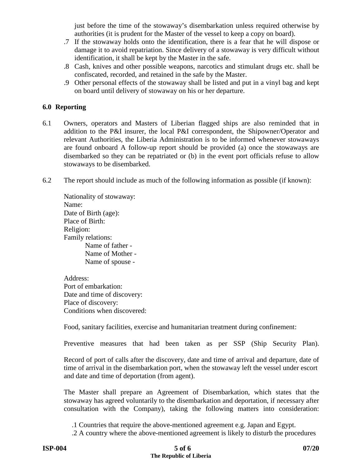just before the time of the stowaway's disembarkation unless required otherwise by authorities (it is prudent for the Master of the vessel to keep a copy on board).

- .7 If the stowaway holds onto the identification, there is a fear that he will dispose or damage it to avoid repatriation. Since delivery of a stowaway is very difficult without identification, it shall be kept by the Master in the safe.
- .8 Cash, knives and other possible weapons, narcotics and stimulant drugs etc. shall be confiscated, recorded, and retained in the safe by the Master.
- .9 Other personal effects of the stowaway shall be listed and put in a vinyl bag and kept on board until delivery of stowaway on his or her departure.

## **6.0 Reporting**

- 6.1 Owners, operators and Masters of Liberian flagged ships are also reminded that in addition to the P&I insurer, the local P&I correspondent, the Shipowner/Operator and relevant Authorities, the Liberia Administration is to be informed whenever stowaways are found onboard A follow-up report should be provided (a) once the stowaways are disembarked so they can be repatriated or (b) in the event port officials refuse to allow stowaways to be disembarked.
- 6.2 The report should include as much of the following information as possible (if known):

| Nationality of stowaway: |
|--------------------------|
| Name:                    |
| Date of Birth (age):     |
| Place of Birth:          |
| Religion:                |
| <b>Family relations:</b> |
| Name of father -         |
| Name of Mother -         |
| Name of spouse -         |

Address: Port of embarkation: Date and time of discovery: Place of discovery: Conditions when discovered:

Food, sanitary facilities, exercise and humanitarian treatment during confinement:

Preventive measures that had been taken as per SSP (Ship Security Plan).

Record of port of calls after the discovery, date and time of arrival and departure, date of time of arrival in the disembarkation port, when the stowaway left the vessel under escort and date and time of deportation (from agent).

The Master shall prepare an Agreement of Disembarkation, which states that the stowaway has agreed voluntarily to the disembarkation and deportation, if necessary after consultation with the Company), taking the following matters into consideration:

.1 Countries that require the above-mentioned agreement e.g. Japan and Egypt.

.2 A country where the above-mentioned agreement is likely to disturb the procedures